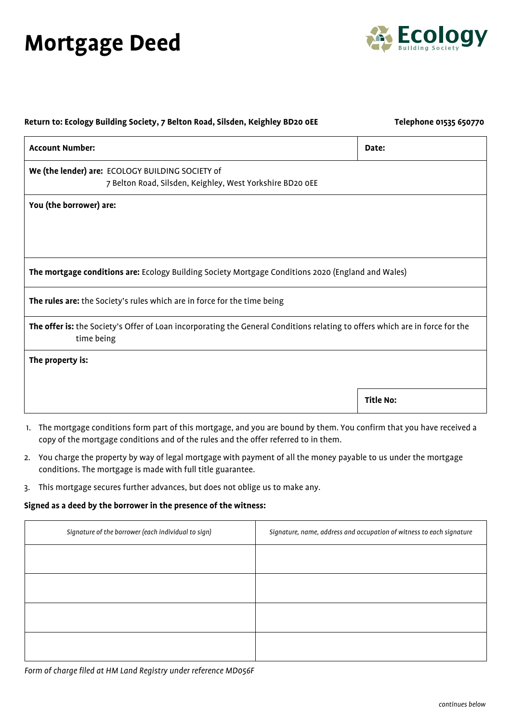## **Mortgage Deed**



| Return to: Ecology Building Society, 7 Belton Road, Silsden, Keighley BD20 OEE                                                             | Telephone 01535 650770 |
|--------------------------------------------------------------------------------------------------------------------------------------------|------------------------|
| <b>Account Number:</b>                                                                                                                     | Date:                  |
| We (the lender) are: ECOLOGY BUILDING SOCIETY of<br>7 Belton Road, Silsden, Keighley, West Yorkshire BD20 OEE                              |                        |
| You (the borrower) are:                                                                                                                    |                        |
|                                                                                                                                            |                        |
| The mortgage conditions are: Ecology Building Society Mortgage Conditions 2020 (England and Wales)                                         |                        |
| The rules are: the Society's rules which are in force for the time being                                                                   |                        |
| The offer is: the Society's Offer of Loan incorporating the General Conditions relating to offers which are in force for the<br>time being |                        |
| The property is:                                                                                                                           |                        |
|                                                                                                                                            | <b>Title No:</b>       |
|                                                                                                                                            |                        |
| 1. The mortgage conditions form part of this mortgage, and you are bound by them. You confirm that you have received a                     |                        |

- copy of the mortgage conditions and of the rules and the offer referred to in them.
- 2. You charge the property by way of legal mortgage with payment of all the money payable to us under the mortgage conditions. The mortgage is made with full title guarantee.
- 3. This mortgage secures further advances, but does not oblige us to make any.

## **Signed as a deed by the borrower in the presence of the witness:**

| Signature of the borrower (each individual to sign) | Signature, name, address and occupation of witness to each signature |
|-----------------------------------------------------|----------------------------------------------------------------------|
|                                                     |                                                                      |
|                                                     |                                                                      |
|                                                     |                                                                      |
|                                                     |                                                                      |
|                                                     |                                                                      |